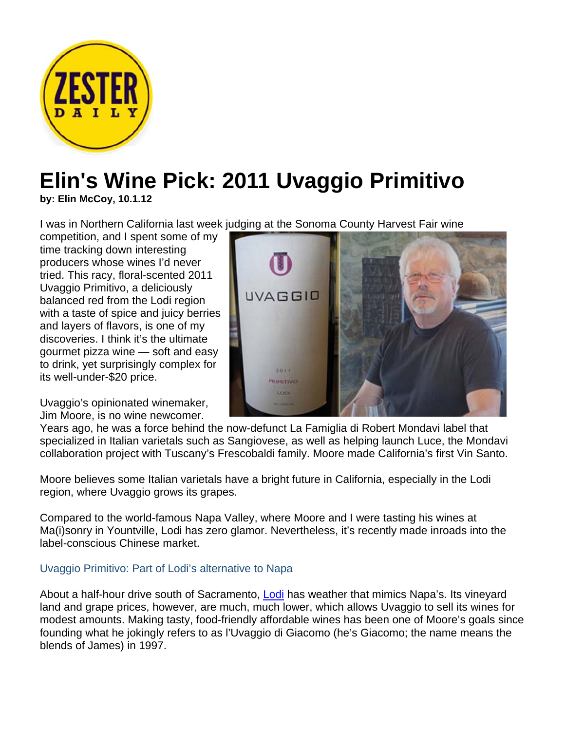

## **Elin's Wine Pick: 2011 Uvaggio Primitivo**

**by: Elin McCoy, 10.1.12**

I was in Northern California last week judging at the Sonoma County Harvest Fair wine

competition, and I spent some of my time tracking down interesting producers whose wines I'd never tried. This racy, floral-scented 2011 Uvaggio Primitivo, a deliciously balanced red from the Lodi region with a taste of spice and juicy berries and layers of flavors, is one of my discoveries. I think it's the ultimate gourmet pizza wine — soft and easy to drink, yet surprisingly complex for its well-under-\$20 price.

Uvaggio's opinionated winemaker, Jim Moore, is no wine newcomer.



Years ago, he was a force behind the now-defunct La Famiglia di Robert Mondavi label that specialized in Italian varietals such as Sangiovese, as well as helping launch Luce, the Mondavi collaboration project with Tuscany's Frescobaldi family. Moore made California's first Vin Santo.

Moore believes some Italian varietals have a bright future in California, especially in the Lodi region, where Uvaggio grows its grapes.

Compared to the world-famous Napa Valley, where Moore and I were tasting his wines at Ma(i)sonry in Yountville, Lodi has zero glamor. Nevertheless, it's recently made inroads into the label-conscious Chinese market.

## Uvaggio Primitivo: Part of Lodi's alternative to Napa

About a half-hour drive south of Sacramento, Lodi has weather that mimics Napa's. Its vineyard land and grape prices, however, are much, much lower, which allows Uvaggio to sell its wines for modest amounts. Making tasty, food-friendly affordable wines has been one of Moore's goals since founding what he jokingly refers to as l'Uvaggio di Giacomo (he's Giacomo; the name means the blends of James) in 1997.